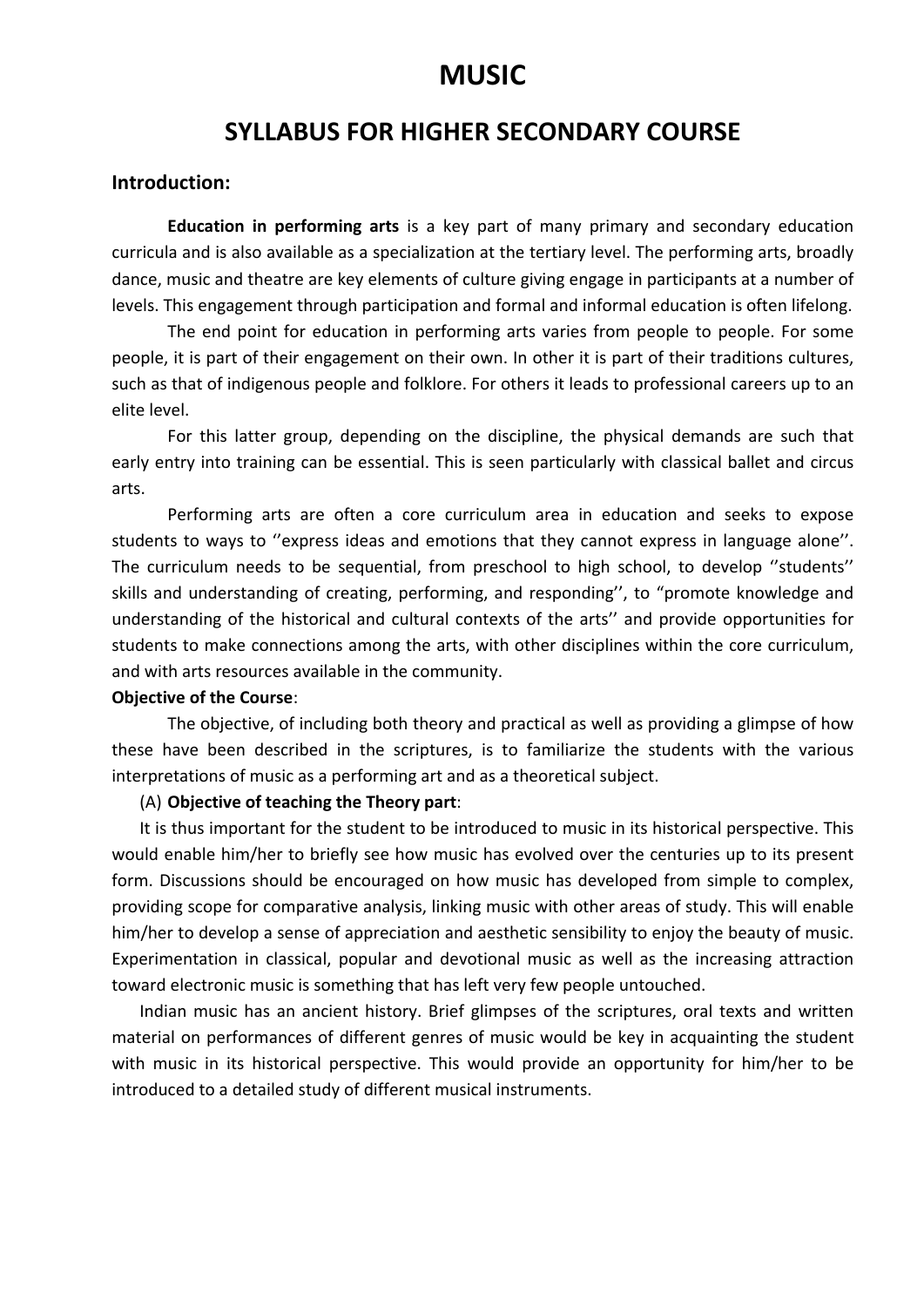## **MUSIC**

### **SYLLABUS FOR HIGHER SECONDARY COURSE**

#### **Introduction:**

**Education in performing arts** is a key part of many primary and secondary education curricula and is also available as a specialization at the tertiary level. The performing arts, broadly dance, music and theatre are key elements of culture giving engage in participants at a number of levels. This engagement through participation and formal and informal education is often lifelong.

The end point for education in performing arts varies from people to people. For some people, it is part of their engagement on their own. In other it is part of their traditions cultures, such as that of indigenous people and folklore. For others it leads to professional careers up to an elite level.

For this latter group, depending on the discipline, the physical demands are such that early entry into training can be essential. This is seen particularly with classical ballet and circus arts.

Performing arts are often a core curriculum area in education and seeks to expose students to ways to ''express ideas and emotions that they cannot express in language alone''. The curriculum needs to be sequential, from preschool to high school, to develop ''students'' skills and understanding of creating, performing, and responding'', to "promote knowledge and understanding of the historical and cultural contexts of the arts'' and provide opportunities for students to make connections among the arts, with other disciplines within the core curriculum, and with arts resources available in the community.

#### **Objective of the Course**:

The objective, of including both theory and practical as well as providing a glimpse of how these have been described in the scriptures, is to familiarize the students with the various interpretations of music as a performing art and as a theoretical subject.

#### (A) **Objective of teaching the Theory part**:

It is thus important for the student to be introduced to music in its historical perspective. This would enable him/her to briefly see how music has evolved over the centuries up to its present form. Discussions should be encouraged on how music has developed from simple to complex, providing scope for comparative analysis, linking music with other areas of study. This will enable him/her to develop a sense of appreciation and aesthetic sensibility to enjoy the beauty of music. Experimentation in classical, popular and devotional music as well as the increasing attraction toward electronic music is something that has left very few people untouched.

Indian music has an ancient history. Brief glimpses of the scriptures, oral texts and written material on performances of different genres of music would be key in acquainting the student with music in its historical perspective. This would provide an opportunity for him/her to be introduced to a detailed study of different musical instruments.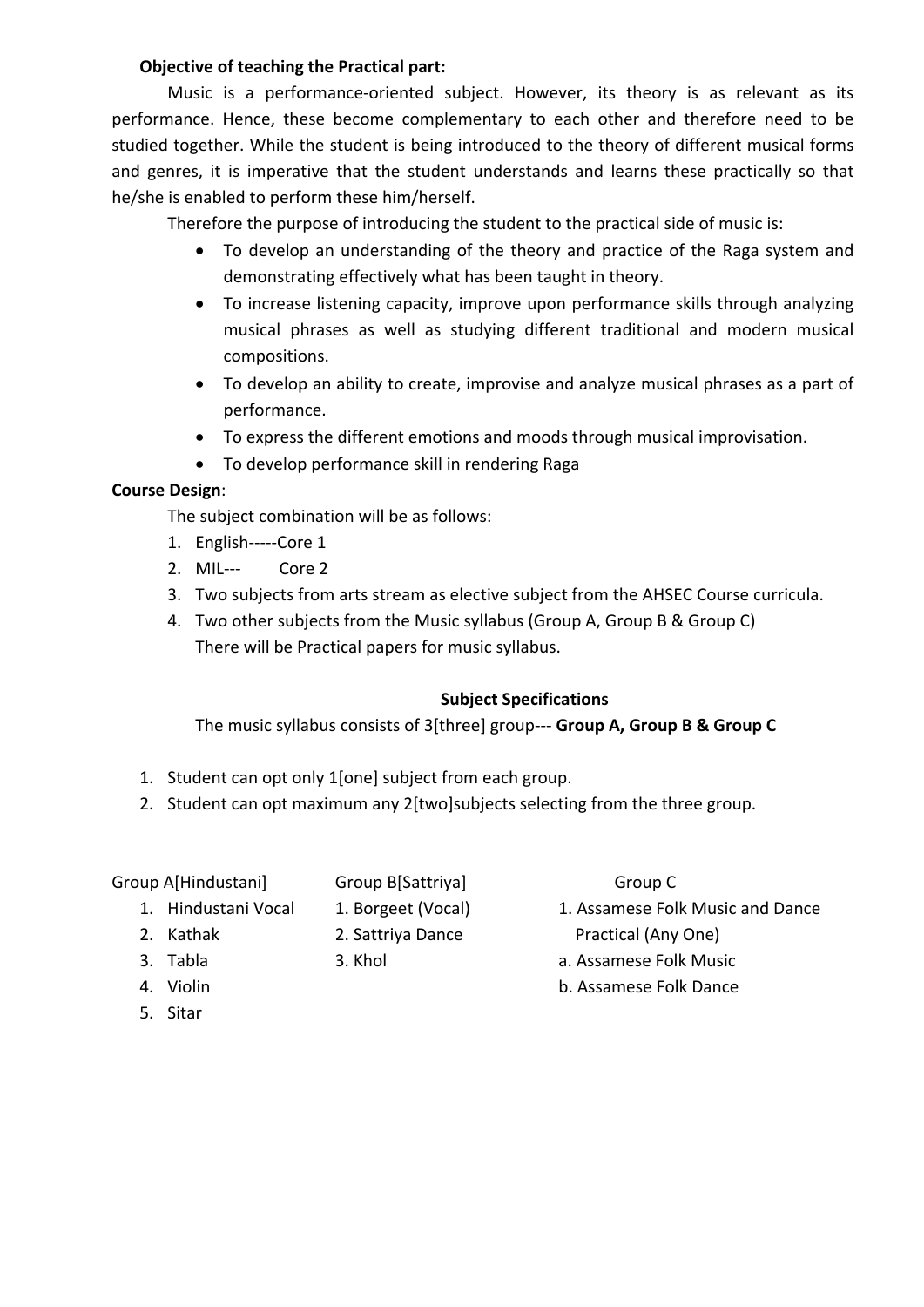#### **Objective of teaching the Practical part:**

Music is a performance-oriented subject. However, its theory is as relevant as its performance. Hence, these become complementary to each other and therefore need to be studied together. While the student is being introduced to the theory of different musical forms and genres, it is imperative that the student understands and learns these practically so that he/she is enabled to perform these him/herself.

Therefore the purpose of introducing the student to the practical side of music is:

- To develop an understanding of the theory and practice of the Raga system and demonstrating effectively what has been taught in theory.
- To increase listening capacity, improve upon performance skills through analyzing musical phrases as well as studying different traditional and modern musical compositions.
- To develop an ability to create, improvise and analyze musical phrases as a part of performance.
- To express the different emotions and moods through musical improvisation.
- To develop performance skill in rendering Raga

#### **Course Design**:

The subject combination will be as follows:

- 1. English-----Core 1
- 2. MIL--- Core 2
- 3. Two subjects from arts stream as elective subject from the AHSEC Course curricula.
- 4. Two other subjects from the Music syllabus (Group A, Group B & Group C) There will be Practical papers for music syllabus.

#### **Subject Specifications**

The music syllabus consists of 3[three] group--- **Group A, Group B & Group C**

- 1. Student can opt only 1[one] subject from each group.
- 2. Student can opt maximum any 2[two]subjects selecting from the three group.

#### Group A[Hindustani] Group B[Sattriya] Group C

- 
- 
- 
- 
- 5. Sitar
- 
- 
- 
- 
- 
- 1. Hindustani Vocal 1. Borgeet (Vocal) 1. Assamese Folk Music and Dance 2. Kathak 2. Sattriya Dance Practical (Any One)
- 3. Tabla 3. Khol a. Assamese Folk Music
- 4. Violin b. Assamese Folk Dance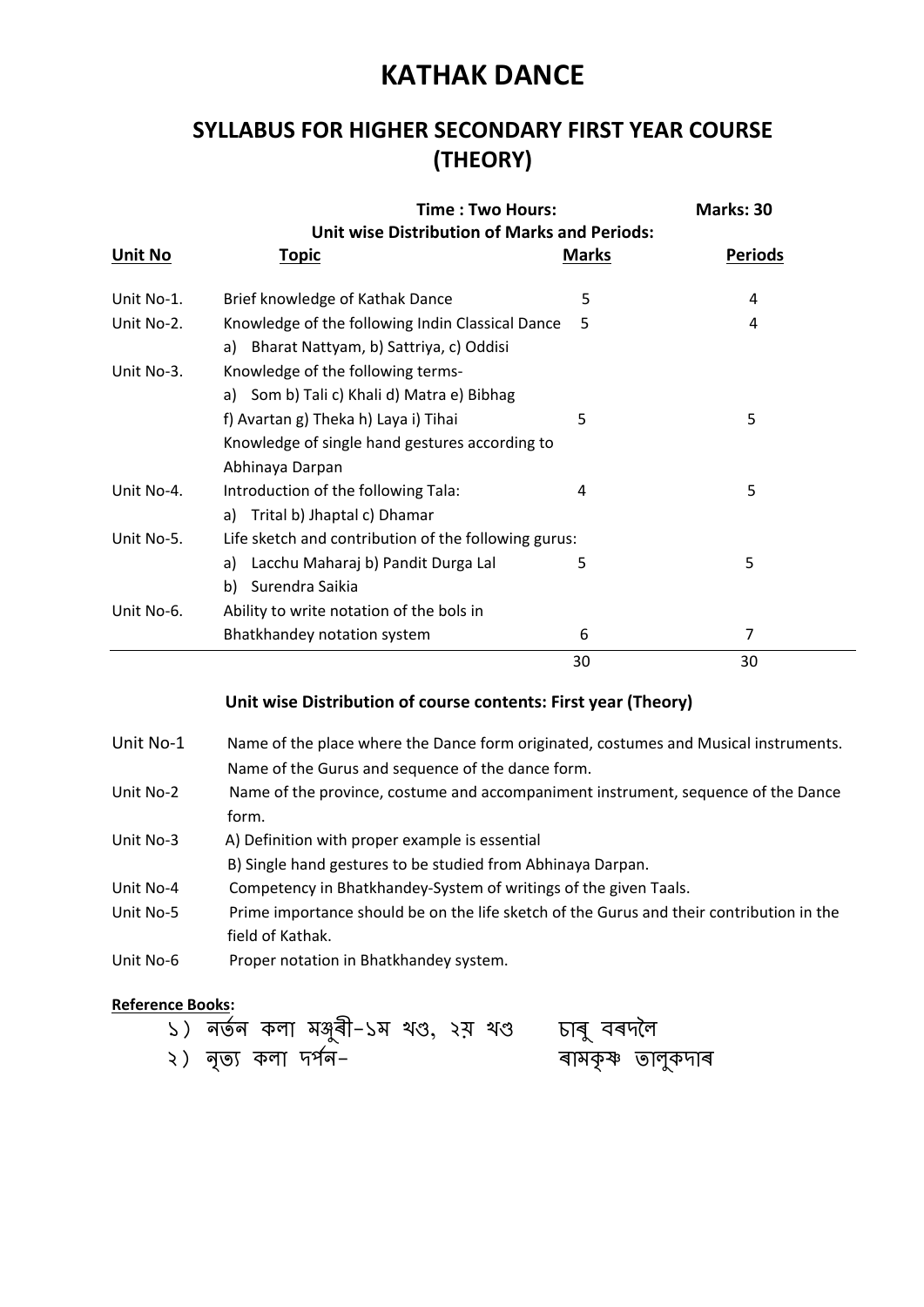# **KATHAK DANCE**

## **SYLLABUS FOR HIGHER SECONDARY FIRST YEAR COURSE (THEORY)**

|                | Time: Two Hours:<br><b>Unit wise Distribution of Marks and Periods:</b>                                   |              | Marks: 30      |  |
|----------------|-----------------------------------------------------------------------------------------------------------|--------------|----------------|--|
| <u>Unit No</u> | <u>Topic</u>                                                                                              | <u>Marks</u> | <b>Periods</b> |  |
| Unit No-1.     | Brief knowledge of Kathak Dance                                                                           | 5            | 4              |  |
| Unit No-2.     | Knowledge of the following Indin Classical Dance<br>Bharat Nattyam, b) Sattriya, c) Oddisi<br>a)          | 5            | 4              |  |
| Unit No-3.     | Knowledge of the following terms-<br>a) Som b) Tali c) Khali d) Matra e) Bibhag                           |              |                |  |
|                | f) Avartan g) Theka h) Laya i) Tihai<br>Knowledge of single hand gestures according to<br>Abhinaya Darpan | 5            | 5              |  |
| Unit No-4.     | Introduction of the following Tala:<br>Trital b) Jhaptal c) Dhamar<br>a)                                  | 4            | 5              |  |
| Unit No-5.     | Life sketch and contribution of the following gurus:                                                      |              |                |  |
|                | Lacchu Maharaj b) Pandit Durga Lal<br>a)<br>Surendra Saikia<br>b)                                         | 5            | 5              |  |
| Unit No-6.     | Ability to write notation of the bols in                                                                  |              |                |  |
|                | Bhatkhandey notation system                                                                               | 6            | 7              |  |
|                |                                                                                                           | 30           | 30             |  |

### **Unit wise Distribution of course contents: First year (Theory)**

- Unit No-1 Name of the place where the Dance form originated, costumes and Musical instruments. Name of the Gurus and sequence of the dance form.
- Unit No-2 Name of the province, costume and accompaniment instrument, sequence of the Dance form.
- Unit No-3 A) Definition with proper example is essential
- B) Single hand gestures to be studied from Abhinaya Darpan.
- Unit No-4 Competency in Bhatkhandey-System of writings of the given Taals.
- Unit No-5 Prime importance should be on the life sketch of the Gurus and their contribution in the field of Kathak.
- Unit No-6 Proper notation in Bhatkhandey system.

#### **Reference Books:**

| ১) নৰ্তন কলা মঙ্গুৰী–১ম থণ্ড, ২ম় থণ্ড | চাৰু বৰদলৈ        |
|----------------------------------------|-------------------|
| ২) নৃত্য কলা দৰ্শন–                    | ৰামকৃষ্ণ তালুকদাৰ |